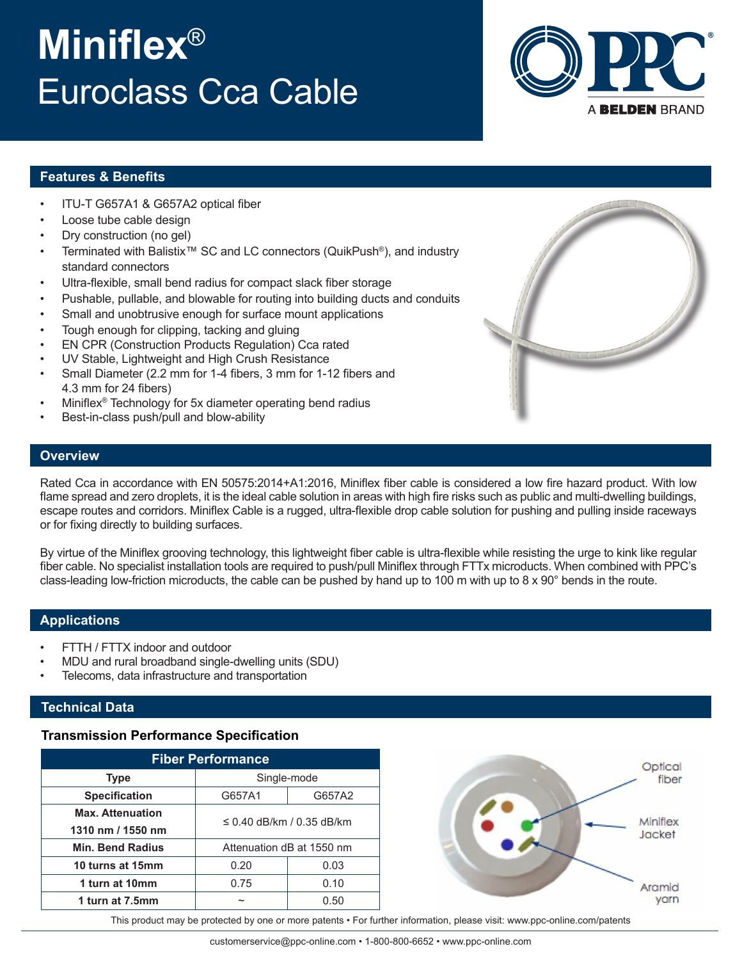# **Miniflex**® Euroclass Cca Cable



#### **Features & Benefits**

- ITU-T G657A1 & G657A2 optical fiber
- Loose tube cable design
- Dry construction (no gel)
- Terminated with Balistix™ SC and LC connectors (QuikPush<sup>®</sup>), and industry standard connectors
- Ultra-flexible, small bend radius for compact slack fiber storage
- Pushable, pullable, and blowable for routing into building ducts and conduits
- Small and unobtrusive enough for surface mount applications
- Tough enough for clipping, tacking and gluing
- EN CPR (Construction Products Regulation) Cca rated
- UV Stable, Lightweight and High Crush Resistance
- Small Diameter (2.2 mm for 1-4 fibers, 3 mm for 1-12 fibers and 4.3 mm for 24 fibers)
- Miniflex<sup>®</sup> Technology for 5x diameter operating bend radius
- Best-in-class push/pull and blow-ability

#### **Overview**

Rated Cca in accordance with EN 50575:2014+A1:2016, Miniflex fiber cable is considered a low fire hazard product. With low flame spread and zero droplets, it is the ideal cable solution in areas with high fire risks such as public and multi-dwelling buildings, escape routes and corridors. Miniflex Cable is a rugged, ultra-flexible drop cable solution for pushing and pulling inside raceways or for fixing directly to building surfaces.

By virtue of the Miniflex grooving technology, this lightweight fiber cable is ultra-flexible while resisting the urge to kink like regular fiber cable. No specialist installation tools are required to push/pull Miniflex through FTTx microducts. When combined with PPC's class-leading low-friction microducts, the cable can be pushed by hand up to 100 m with up to 8 x 90° bends in the route.

#### **Applications**

- FTTH / FTTX indoor and outdoor
- MDU and rural broadband single-dwelling units (SDU)
- Telecoms, data infrastructure and transportation

## **Technical Data**

## **Transmission Performance Specification**

| <b>Fiber Performance</b>                     |                           |        |  |  |
|----------------------------------------------|---------------------------|--------|--|--|
| <b>Type</b>                                  | Single-mode               |        |  |  |
| <b>Specification</b>                         | G657A1                    | G657A2 |  |  |
| <b>Max. Attenuation</b><br>1310 nm / 1550 nm | ≤ 0.40 dB/km / 0.35 dB/km |        |  |  |
| <b>Min. Bend Radius</b>                      | Attenuation dB at 1550 nm |        |  |  |
| 10 turns at 15mm                             | 0.20                      | 0.03   |  |  |
| 1 turn at 10mm                               | 0.75                      | 0.10   |  |  |
| 1 turn at 7.5mm                              | ∼                         | 0.50   |  |  |



This product may be protected by one or more patents • For further information, please visit: www.ppc-online.com/patents